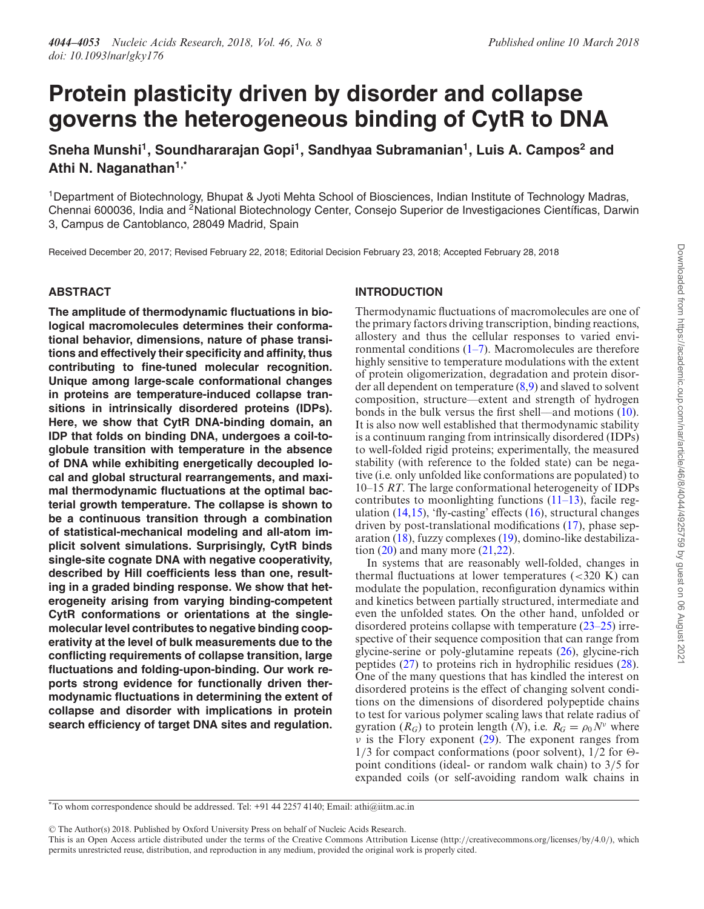# **Protein plasticity driven by disorder and collapse governs the heterogeneous binding of CytR to DNA**

**Sneha Munshi<sup>1</sup> , Soundhararajan Gopi<sup>1</sup> , Sandhyaa Subramanian<sup>1</sup> , Luis A. Campos<sup>2</sup> and Athi N. Naganathan1,\***

<sup>1</sup>Department of Biotechnology, Bhupat & Jyoti Mehta School of Biosciences, Indian Institute of Technology Madras, Chennai 600036, India and <sup>2</sup>National Biotechnology Center, Consejo Superior de Investigaciones Científicas, Darwin 3, Campus de Cantoblanco, 28049 Madrid, Spain

Received December 20, 2017; Revised February 22, 2018; Editorial Decision February 23, 2018; Accepted February 28, 2018

## **ABSTRACT**

**The amplitude of thermodynamic fluctuations in biological macromolecules determines their conformational behavior, dimensions, nature of phase transitions and effectively their specificity and affinity, thus contributing to fine-tuned molecular recognition. Unique among large-scale conformational changes in proteins are temperature-induced collapse transitions in intrinsically disordered proteins (IDPs). Here, we show that CytR DNA-binding domain, an IDP that folds on binding DNA, undergoes a coil-toglobule transition with temperature in the absence of DNA while exhibiting energetically decoupled local and global structural rearrangements, and maximal thermodynamic fluctuations at the optimal bacterial growth temperature. The collapse is shown to be a continuous transition through a combination of statistical-mechanical modeling and all-atom implicit solvent simulations. Surprisingly, CytR binds single-site cognate DNA with negative cooperativity, described by Hill coefficients less than one, resulting in a graded binding response. We show that heterogeneity arising from varying binding-competent CytR conformations or orientations at the singlemolecular level contributes to negative binding cooperativity at the level of bulk measurements due to the conflicting requirements of collapse transition, large fluctuations and folding-upon-binding. Our work reports strong evidence for functionally driven thermodynamic fluctuations in determining the extent of collapse and disorder with implications in protein search efficiency of target DNA sites and regulation.**

# **INTRODUCTION**

Thermodynamic fluctuations of macromolecules are one of the primary factors driving transcription, binding reactions, allostery and thus the cellular responses to varied environmental conditions  $(1-7)$ . Macromolecules are therefore highly sensitive to temperature modulations with the extent of protein oligomerization, degradation and protein disorder all dependent on temperature (8,9) and slaved to solvent composition, structure––extent and strength of hydrogen bonds in the bulk versus the first shell—and motions  $(10)$ . It is also now well established that thermodynamic stability is a continuum ranging from intrinsically disordered (IDPs) to well-folded rigid proteins; experimentally, the measured stability (with reference to the folded state) can be negative (i.e. only unfolded like conformations are populated) to 10–15 *RT*. The large conformational heterogeneity of IDPs contributes to moonlighting functions (11–13), facile regulation  $(14,15)$ , 'fly-casting' effects  $(16)$ , structural changes driven by post-translational modifications (17), phase separation (18), fuzzy complexes (19), domino-like destabilization  $(20)$  and many more  $(21,22)$ .

In systems that are reasonably well-folded, changes in thermal fluctuations at lower temperatures  $(< 320 K$ ) can modulate the population, reconfiguration dynamics within and kinetics between partially structured, intermediate and even the unfolded states. On the other hand, unfolded or disordered proteins collapse with temperature (23–25) irrespective of their sequence composition that can range from glycine-serine or poly-glutamine repeats (26), glycine-rich peptides (27) to proteins rich in hydrophilic residues (28). One of the many questions that has kindled the interest on disordered proteins is the effect of changing solvent conditions on the dimensions of disordered polypeptide chains to test for various polymer scaling laws that relate radius of gyration ( $R_G$ ) to protein length (*N*), i.e.  $R_G = \rho_0 N^{\nu}$  where  $\nu$  is the Flory exponent (29). The exponent ranges from  $1/3$  for compact conformations (poor solvent),  $1/2$  for  $\Theta$ point conditions (ideal- or random walk chain) to 3/5 for expanded coils (or self-avoiding random walk chains in

-<sup>C</sup> The Author(s) 2018. Published by Oxford University Press on behalf of Nucleic Acids Research.

<sup>\*</sup>To whom correspondence should be addressed. Tel: +91 44 2257 4140; Email: athi@iitm.ac.in

This is an Open Access article distributed under the terms of the Creative Commons Attribution License (http://creativecommons.org/licenses/by/4.0/), which permits unrestricted reuse, distribution, and reproduction in any medium, provided the original work is properly cited.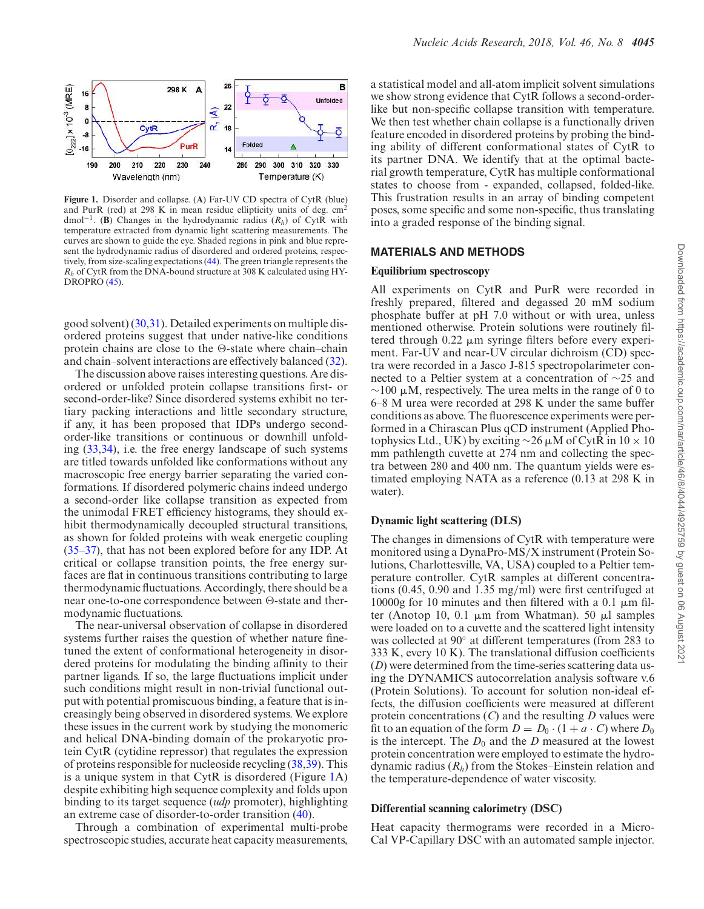

**Figure 1.** Disorder and collapse. (**A**) Far-UV CD spectra of CytR (blue) and PurR (red) at 298 K in mean residue ellipticity units of deg. cm<sup>2</sup> dmol−<sup>1</sup> . (**B**) Changes in the hydrodynamic radius (*Rh*) of CytR with temperature extracted from dynamic light scattering measurements. The curves are shown to guide the eye. Shaded regions in pink and blue represent the hydrodynamic radius of disordered and ordered proteins, respectively, from size-scaling expectations (44). The green triangle represents the *R<sup>h</sup>* of CytR from the DNA-bound structure at 308 K calculated using HY-DROPRO (45).

good solvent) (30,31). Detailed experiments on multiple disordered proteins suggest that under native-like conditions protein chains are close to the  $\Theta$ -state where chain–chain and chain–solvent interactions are effectively balanced (32).

The discussion above raises interesting questions. Are disordered or unfolded protein collapse transitions first- or second-order-like? Since disordered systems exhibit no tertiary packing interactions and little secondary structure, if any, it has been proposed that IDPs undergo secondorder-like transitions or continuous or downhill unfolding (33,34), i.e. the free energy landscape of such systems are titled towards unfolded like conformations without any macroscopic free energy barrier separating the varied conformations. If disordered polymeric chains indeed undergo a second-order like collapse transition as expected from the unimodal FRET efficiency histograms, they should exhibit thermodynamically decoupled structural transitions, as shown for folded proteins with weak energetic coupling (35–37), that has not been explored before for any IDP. At critical or collapse transition points, the free energy surfaces are flat in continuous transitions contributing to large thermodynamic fluctuations. Accordingly, there should be a near one-to-one correspondence between  $\Theta$ -state and thermodynamic fluctuations.

The near-universal observation of collapse in disordered systems further raises the question of whether nature finetuned the extent of conformational heterogeneity in disordered proteins for modulating the binding affinity to their partner ligands. If so, the large fluctuations implicit under such conditions might result in non-trivial functional output with potential promiscuous binding, a feature that is increasingly being observed in disordered systems. We explore these issues in the current work by studying the monomeric and helical DNA-binding domain of the prokaryotic protein CytR (cytidine repressor) that regulates the expression of proteins responsible for nucleoside recycling (38,39). This is a unique system in that CytR is disordered (Figure 1A) despite exhibiting high sequence complexity and folds upon binding to its target sequence (*udp* promoter), highlighting an extreme case of disorder-to-order transition (40).

Through a combination of experimental multi-probe spectroscopic studies, accurate heat capacity measurements, a statistical model and all-atom implicit solvent simulations we show strong evidence that CytR follows a second-orderlike but non-specific collapse transition with temperature. We then test whether chain collapse is a functionally driven feature encoded in disordered proteins by probing the binding ability of different conformational states of CytR to its partner DNA. We identify that at the optimal bacterial growth temperature, CytR has multiple conformational states to choose from - expanded, collapsed, folded-like. This frustration results in an array of binding competent poses, some specific and some non-specific, thus translating into a graded response of the binding signal.

#### **MATERIALS AND METHODS**

#### **Equilibrium spectroscopy**

All experiments on CytR and PurR were recorded in freshly prepared, filtered and degassed 20 mM sodium phosphate buffer at pH 7.0 without or with urea, unless mentioned otherwise. Protein solutions were routinely filtered through  $0.22 \mu m$  syringe filters before every experiment. Far-UV and near-UV circular dichroism (CD) spectra were recorded in a Jasco J-815 spectropolarimeter connected to a Peltier system at a concentration of ∼25 and  $\sim$ 100 µM, respectively. The urea melts in the range of 0 to 6–8 M urea were recorded at 298 K under the same buffer conditions as above. The fluorescence experiments were performed in a Chirascan Plus qCD instrument (Applied Photophysics Ltd., UK) by exciting  $\sim$ 26 µM of CytR in 10 × 10 mm pathlength cuvette at 274 nm and collecting the spectra between 280 and 400 nm. The quantum yields were estimated employing NATA as a reference (0.13 at 298 K in water).

## **Dynamic light scattering (DLS)**

The changes in dimensions of CytR with temperature were monitored using a DynaPro-MS/X instrument (Protein Solutions, Charlottesville, VA, USA) coupled to a Peltier temperature controller. CytR samples at different concentrations (0.45, 0.90 and 1.35 mg/ml) were first centrifuged at 10000g for 10 minutes and then filtered with a 0.1  $\mu$ m filter (Anotop 10, 0.1  $\mu$ m from Whatman). 50  $\mu$ l samples were loaded on to a cuvette and the scattered light intensity was collected at 90◦ at different temperatures (from 283 to 333 K, every 10 K). The translational diffusion coefficients (*D*) were determined from the time-series scattering data using the DYNAMICS autocorrelation analysis software v.6 (Protein Solutions). To account for solution non-ideal effects, the diffusion coefficients were measured at different protein concentrations (*C*) and the resulting *D* values were fit to an equation of the form  $D = D_0 \cdot (1 + a \cdot C)$  where  $D_0$ is the intercept. The  $D_0$  and the *D* measured at the lowest protein concentration were employed to estimate the hydrodynamic radius (*Rh*) from the Stokes–Einstein relation and the temperature-dependence of water viscosity.

#### **Differential scanning calorimetry (DSC)**

Heat capacity thermograms were recorded in a Micro-Cal VP-Capillary DSC with an automated sample injector.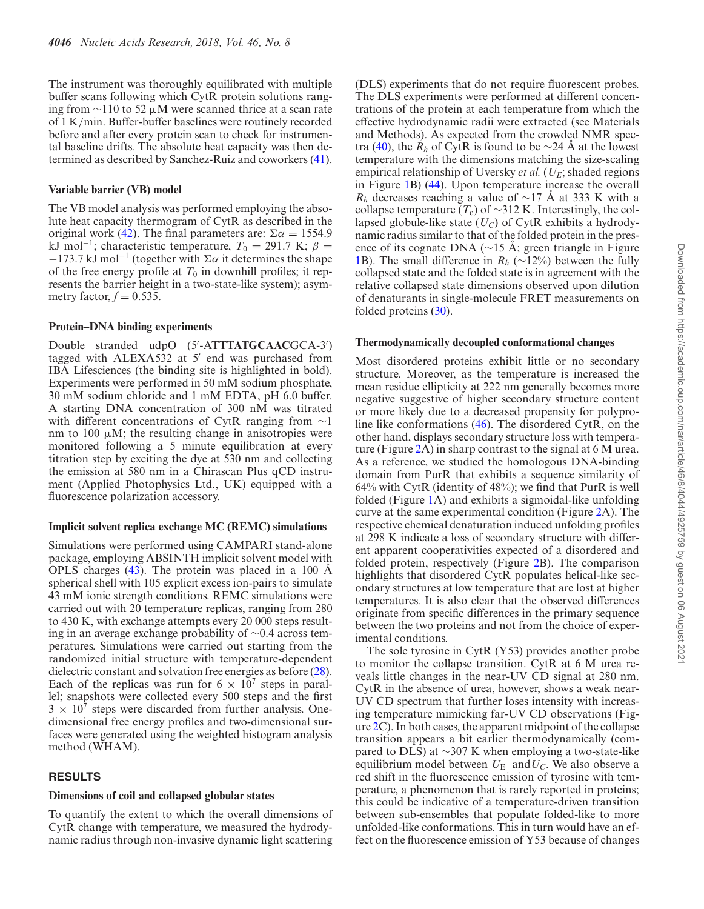The instrument was thoroughly equilibrated with multiple buffer scans following which CytR protein solutions ranging from  $\sim$ 110 to 52 µM were scanned thrice at a scan rate of 1 K/min. Buffer-buffer baselines were routinely recorded before and after every protein scan to check for instrumental baseline drifts. The absolute heat capacity was then determined as described by Sanchez-Ruiz and coworkers (41).

## **Variable barrier (VB) model**

The VB model analysis was performed employing the absolute heat capacity thermogram of CytR as described in the original work (42). The final parameters are:  $\Sigma \alpha = 1554.9$ kJ mol<sup>-1</sup>; characteristic temperature,  $T_0 = 291.7$  K;  $\beta =$  $-173.7$  kJ mol<sup>-1</sup> (together with  $\Sigma \alpha$  it determines the shape of the free energy profile at  $T_0$  in downhill profiles; it represents the barrier height in a two-state-like system); asymmetry factor,  $f = 0.535$ .

## **Protein–DNA binding experiments**

Double stranded udpO (5'-ATTTATGCAACGCA-3') tagged with ALEXA532 at 5' end was purchased from IBA Lifesciences (the binding site is highlighted in bold). Experiments were performed in 50 mM sodium phosphate, 30 mM sodium chloride and 1 mM EDTA, pH 6.0 buffer. A starting DNA concentration of 300 nM was titrated with different concentrations of CytR ranging from ∼1 nm to 100  $\mu$ M; the resulting change in anisotropies were monitored following a 5 minute equilibration at every titration step by exciting the dye at 530 nm and collecting the emission at 580 nm in a Chirascan Plus qCD instrument (Applied Photophysics Ltd., UK) equipped with a fluorescence polarization accessory.

# **Implicit solvent replica exchange MC (REMC) simulations**

Simulations were performed using CAMPARI stand-alone package, employing ABSINTH implicit solvent model with OPLS charges  $(43)$ . The protein was placed in a 100  $\AA$ spherical shell with 105 explicit excess ion-pairs to simulate 43 mM ionic strength conditions. REMC simulations were carried out with 20 temperature replicas, ranging from 280 to 430 K, with exchange attempts every 20 000 steps resulting in an average exchange probability of ∼0.4 across temperatures. Simulations were carried out starting from the randomized initial structure with temperature-dependent dielectric constant and solvation free energies as before (28). Each of the replicas was run for  $6 \times 10^7$  steps in parallel; snapshots were collected every 500 steps and the first  $3 \times 10^7$  steps were discarded from further analysis. Onedimensional free energy profiles and two-dimensional surfaces were generated using the weighted histogram analysis method (WHAM).

# **RESULTS**

## **Dimensions of coil and collapsed globular states**

To quantify the extent to which the overall dimensions of CytR change with temperature, we measured the hydrodynamic radius through non-invasive dynamic light scattering

(DLS) experiments that do not require fluorescent probes. The DLS experiments were performed at different concentrations of the protein at each temperature from which the effective hydrodynamic radii were extracted (see Materials and Methods). As expected from the crowded NMR spectra (40), the  $R_h$  of CytR is found to be ∼24 A at the lowest temperature with the dimensions matching the size-scaling empirical relationship of Uversky *et al.* (*UE*; shaded regions in Figure 1B) (44). Upon temperature increase the overall  $R_h$  decreases reaching a value of ~17 Å at 333 K with a collapse temperature  $(T_c)$  of ∼312 K. Interestingly, the collapsed globule-like state (*UC*) of CytR exhibits a hydrodynamic radius similar to that of the folded protein in the presence of its cognate DNA ( $\sim$ 15 A; green triangle in Figure 1B). The small difference in *R<sup>h</sup>* (∼12%) between the fully collapsed state and the folded state is in agreement with the relative collapsed state dimensions observed upon dilution of denaturants in single-molecule FRET measurements on folded proteins (30).

# **Thermodynamically decoupled conformational changes**

Most disordered proteins exhibit little or no secondary structure. Moreover, as the temperature is increased the mean residue ellipticity at 222 nm generally becomes more negative suggestive of higher secondary structure content or more likely due to a decreased propensity for polyproline like conformations (46). The disordered CytR, on the other hand, displays secondary structure loss with temperature (Figure 2A) in sharp contrast to the signal at 6 M urea. As a reference, we studied the homologous DNA-binding domain from PurR that exhibits a sequence similarity of  $64\%$  with CytR (identity of  $48\%$ ); we find that PurR is well folded (Figure 1A) and exhibits a sigmoidal-like unfolding curve at the same experimental condition (Figure 2A). The respective chemical denaturation induced unfolding profiles at 298 K indicate a loss of secondary structure with different apparent cooperativities expected of a disordered and folded protein, respectively (Figure 2B). The comparison highlights that disordered CytR populates helical-like secondary structures at low temperature that are lost at higher temperatures. It is also clear that the observed differences originate from specific differences in the primary sequence between the two proteins and not from the choice of experimental conditions.

The sole tyrosine in CytR (Y53) provides another probe to monitor the collapse transition. CytR at 6 M urea reveals little changes in the near-UV CD signal at 280 nm. CytR in the absence of urea, however, shows a weak near-UV CD spectrum that further loses intensity with increasing temperature mimicking far-UV CD observations (Figure 2C). In both cases, the apparent midpoint of the collapse transition appears a bit earlier thermodynamically (compared to DLS) at ∼307 K when employing a two-state-like equilibrium model between  $U_E$  and  $U_C$ . We also observe a red shift in the fluorescence emission of tyrosine with temperature, a phenomenon that is rarely reported in proteins; this could be indicative of a temperature-driven transition between sub-ensembles that populate folded-like to more unfolded-like conformations. This in turn would have an effect on the fluorescence emission of Y53 because of changes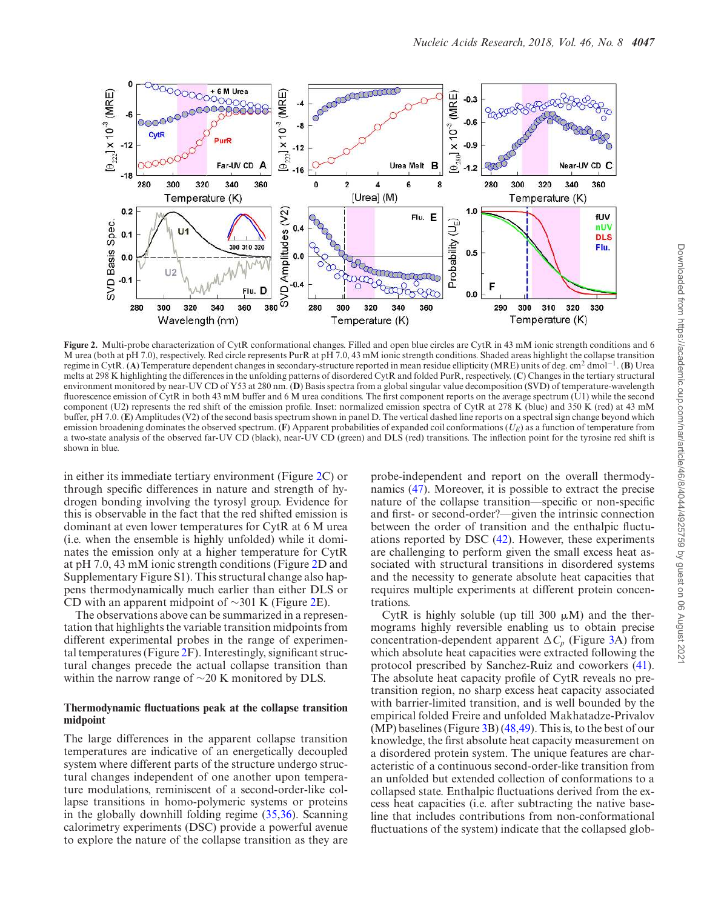

**Figure 2.** Multi-probe characterization of CytR conformational changes. Filled and open blue circles are CytR in 43 mM ionic strength conditions and 6 M urea (both at pH 7.0), respectively. Red circle represents PurR at pH 7.0, 43 mM ionic strength conditions. Shaded areas highlight the collapse transition regime in CytR. (**A**) Temperature dependent changes in secondary-structure reported in mean residue ellipticity (MRE) units of deg. cm<sup>2</sup> dmol−<sup>1</sup> . (**B**) Urea melts at 298 K highlighting the differences in the unfolding patterns of disordered CytR and folded PurR, respectively. (**C**) Changes in the tertiary structural environment monitored by near-UV CD of Y53 at 280 nm. (**D**) Basis spectra from a global singular value decomposition (SVD) of temperature-wavelength fluorescence emission of  $\dot{C}$ ytR in both 43 mM buffer and 6 M urea conditions. The first component reports on the average spectrum ( $\dot{U}$ 1) while the second component (U2) represents the red shift of the emission profile. Inset: normalized emission spectra of CytR at 278 K (blue) and 350 K (red) at 43 mM buffer, pH 7.0. (E) Amplitudes (V2) of the second basis spectrum shown in panel D. The vertical dashed line reports on a spectral sign change beyond which emission broadening dominates the observed spectrum. (**F**) Apparent probabilities of expanded coil conformations  $(U_E)$  as a function of temperature from a two-state analysis of the observed far-UV CD (black), near-UV CD (green) and DLS (red) transitions. The inflection point for the tyrosine red shift is shown in blue.

in either its immediate tertiary environment (Figure 2C) or through specific differences in nature and strength of hydrogen bonding involving the tyrosyl group. Evidence for this is observable in the fact that the red shifted emission is dominant at even lower temperatures for CytR at 6 M urea (i.e. when the ensemble is highly unfolded) while it dominates the emission only at a higher temperature for CytR at pH 7.0, 43 mM ionic strength conditions (Figure 2D and Supplementary Figure S1). This structural change also happens thermodynamically much earlier than either DLS or CD with an apparent midpoint of ∼301 K (Figure 2E).

The observations above can be summarized in a representation that highlights the variable transition midpoints from different experimental probes in the range of experimental temperatures (Figure 2F). Interestingly, significant structural changes precede the actual collapse transition than within the narrow range of ∼20 K monitored by DLS.

#### **Thermodynamic fluctuations peak at the collapse transition midpoint**

The large differences in the apparent collapse transition temperatures are indicative of an energetically decoupled system where different parts of the structure undergo structural changes independent of one another upon temperature modulations, reminiscent of a second-order-like collapse transitions in homo-polymeric systems or proteins in the globally downhill folding regime (35,36). Scanning calorimetry experiments (DSC) provide a powerful avenue to explore the nature of the collapse transition as they are

probe-independent and report on the overall thermodynamics (47). Moreover, it is possible to extract the precise nature of the collapse transition––specific or non-specific and first- or second-order?––given the intrinsic connection between the order of transition and the enthalpic fluctuations reported by DSC (42). However, these experiments are challenging to perform given the small excess heat associated with structural transitions in disordered systems and the necessity to generate absolute heat capacities that requires multiple experiments at different protein concentrations.

CytR is highly soluble (up till 300  $\mu$ M) and the thermograms highly reversible enabling us to obtain precise concentration-dependent apparent  $\Delta C_p$  (Figure 3A) from which absolute heat capacities were extracted following the protocol prescribed by Sanchez-Ruiz and coworkers (41). The absolute heat capacity profile of CytR reveals no pretransition region, no sharp excess heat capacity associated with barrier-limited transition, and is well bounded by the empirical folded Freire and unfolded Makhatadze-Privalov  $(MP)$  baselines (Figure 3B) (48,49). This is, to the best of our knowledge, the first absolute heat capacity measurement on a disordered protein system. The unique features are characteristic of a continuous second-order-like transition from an unfolded but extended collection of conformations to a collapsed state. Enthalpic fluctuations derived from the excess heat capacities (i.e. after subtracting the native baseline that includes contributions from non-conformational fluctuations of the system) indicate that the collapsed glob-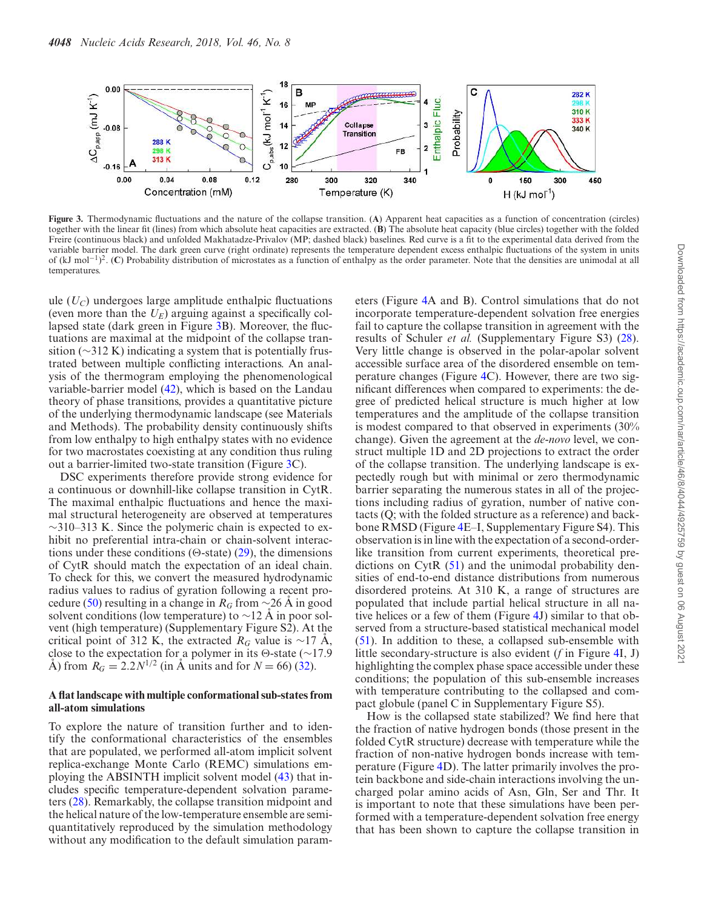

**Figure 3.** Thermodynamic fluctuations and the nature of the collapse transition. (**A**) Apparent heat capacities as a function of concentration (circles) together with the linear fit (lines) from which absolute heat capacities are extracted. (**B**) The absolute heat capacity (blue circles) together with the folded Freire (continuous black) and unfolded Makhatadze-Privalov (MP; dashed black) baselines. Red curve is a fit to the experimental data derived from the variable barrier model. The dark green curve (right ordinate) represents the temperature dependent excess enthalpic fluctuations of the system in units of (kJ mol<sup>-1</sup>)<sup>2</sup>. (**C**) Probability distribution of microstates as a function of enthalpy as the order parameter. Note that the densities are unimodal at all temperatures.

ule  $(U_C)$  undergoes large amplitude enthalpic fluctuations (even more than the  $U_F$ ) arguing against a specifically collapsed state (dark green in Figure 3B). Moreover, the fluctuations are maximal at the midpoint of the collapse transition (∼312 K) indicating a system that is potentially frustrated between multiple conflicting interactions. An analysis of the thermogram employing the phenomenological variable-barrier model (42), which is based on the Landau theory of phase transitions, provides a quantitative picture of the underlying thermodynamic landscape (see Materials and Methods). The probability density continuously shifts from low enthalpy to high enthalpy states with no evidence for two macrostates coexisting at any condition thus ruling out a barrier-limited two-state transition (Figure 3C).

DSC experiments therefore provide strong evidence for a continuous or downhill-like collapse transition in CytR. The maximal enthalpic fluctuations and hence the maximal structural heterogeneity are observed at temperatures  $\sim$ 310–313 K. Since the polymeric chain is expected to exhibit no preferential intra-chain or chain-solvent interactions under these conditions ( $\Theta$ -state) (29), the dimensions of CytR should match the expectation of an ideal chain. To check for this, we convert the measured hydrodynamic radius values to radius of gyration following a recent procedure (50) resulting in a change in  $R_G$  from ∼26 A in good solvent conditions (low temperature) to  $\sim$ 12 Å in poor solvent (high temperature) (Supplementary Figure S2). At the critical point of 312 K, the extracted  $R_G$  value is ~17 Å, close to the expectation for a polymer in its  $\Theta$ -state (∼17.9 Å) from  $R_G = 2.2 N^{1/2}$  (in Å units and for  $N = 66$ ) (32).

### **A flat landscape with multiple conformational sub-states from all-atom simulations**

To explore the nature of transition further and to identify the conformational characteristics of the ensembles that are populated, we performed all-atom implicit solvent replica-exchange Monte Carlo (REMC) simulations employing the ABSINTH implicit solvent model (43) that includes specific temperature-dependent solvation parameters (28). Remarkably, the collapse transition midpoint and the helical nature of the low-temperature ensemble are semiquantitatively reproduced by the simulation methodology without any modification to the default simulation parameters (Figure 4A and B). Control simulations that do not incorporate temperature-dependent solvation free energies fail to capture the collapse transition in agreement with the results of Schuler *et al.* (Supplementary Figure S3) (28). Very little change is observed in the polar-apolar solvent accessible surface area of the disordered ensemble on temperature changes (Figure 4C). However, there are two significant differences when compared to experiments: the degree of predicted helical structure is much higher at low temperatures and the amplitude of the collapse transition is modest compared to that observed in experiments (30% change). Given the agreement at the *de-novo* level, we construct multiple 1D and 2D projections to extract the order of the collapse transition. The underlying landscape is expectedly rough but with minimal or zero thermodynamic barrier separating the numerous states in all of the projections including radius of gyration, number of native contacts (Q; with the folded structure as a reference) and backbone RMSD (Figure 4E–I, Supplementary Figure S4). This observation is in line with the expectation of a second-orderlike transition from current experiments, theoretical predictions on CytR (51) and the unimodal probability densities of end-to-end distance distributions from numerous disordered proteins. At 310 K, a range of structures are populated that include partial helical structure in all native helices or a few of them (Figure 4J) similar to that observed from a structure-based statistical mechanical model (51). In addition to these, a collapsed sub-ensemble with little secondary-structure is also evident (*f* in Figure 4I, J) highlighting the complex phase space accessible under these conditions; the population of this sub-ensemble increases with temperature contributing to the collapsed and compact globule (panel C in Supplementary Figure S5).

How is the collapsed state stabilized? We find here that the fraction of native hydrogen bonds (those present in the folded CytR structure) decrease with temperature while the fraction of non-native hydrogen bonds increase with temperature (Figure 4D). The latter primarily involves the protein backbone and side-chain interactions involving the uncharged polar amino acids of Asn, Gln, Ser and Thr. It is important to note that these simulations have been performed with a temperature-dependent solvation free energy that has been shown to capture the collapse transition in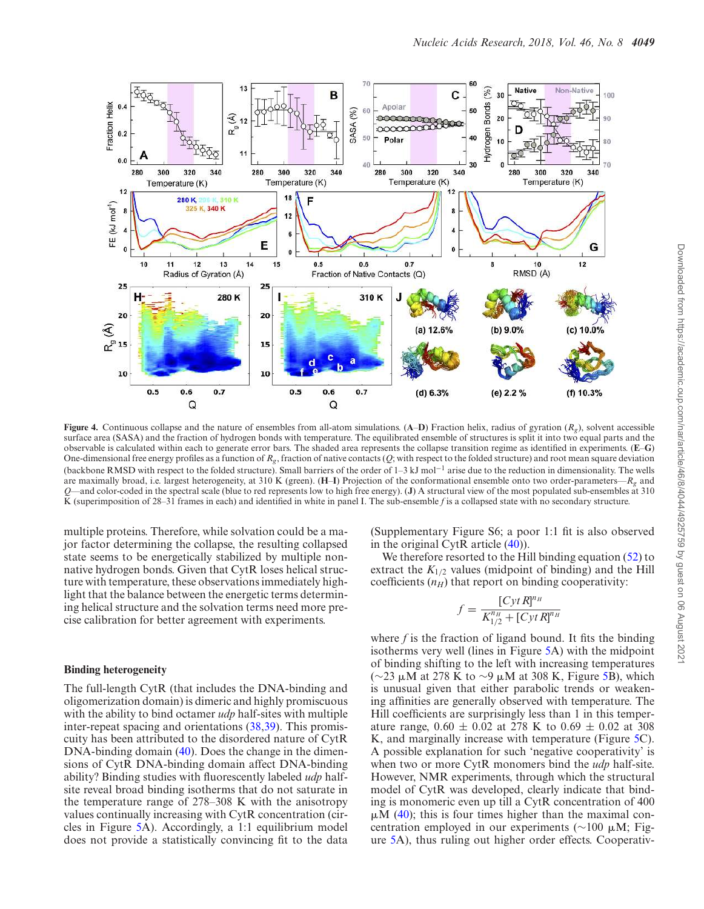

**Figure 4.** Continuous collapse and the nature of ensembles from all-atom simulations. (**A–D**) Fraction helix, radius of gyration ( $R_g$ ), solvent accessible surface area (SASA) and the fraction of hydrogen bonds with temperature. The equilibrated ensemble of structures is split it into two equal parts and the observable is calculated within each to generate error bars. The shaded area represents the collapse transition regime as identified in experiments. (**E**–**G**) One-dimensional free energy profiles as a function of  $R_g$ , fraction of native contacts  $(Q)$ ; with respect to the folded structure) and root mean square deviation (backbone RMSD with respect to the folded structure). Small barriers of the order of 1–3 kJ mol−<sup>1</sup> arise due to the reduction in dimensionality. The wells are maximally broad, i.e. largest heterogeneity, at 310 K (green). (**H**–**I**) Projection of the conformational ensemble onto two order-parameters––*R<sup>g</sup>* and *Q*––and color-coded in the spectral scale (blue to red represents low to high free energy). (**J**) A structural view of the most populated sub-ensembles at 310 K (superimposition of 28–31 frames in each) and identified in white in panel I. The sub-ensemble *f* is a collapsed state with no secondary structure.

multiple proteins. Therefore, while solvation could be a major factor determining the collapse, the resulting collapsed state seems to be energetically stabilized by multiple nonnative hydrogen bonds. Given that CytR loses helical structure with temperature, these observations immediately highlight that the balance between the energetic terms determining helical structure and the solvation terms need more precise calibration for better agreement with experiments.

### **Binding heterogeneity**

The full-length CytR (that includes the DNA-binding and oligomerization domain) is dimeric and highly promiscuous with the ability to bind octamer *udp* half-sites with multiple inter-repeat spacing and orientations (38,39). This promiscuity has been attributed to the disordered nature of CytR DNA-binding domain (40). Does the change in the dimensions of CytR DNA-binding domain affect DNA-binding ability? Binding studies with fluorescently labeled *udp* halfsite reveal broad binding isotherms that do not saturate in the temperature range of 278–308 K with the anisotropy values continually increasing with CytR concentration (circles in Figure 5A). Accordingly, a 1:1 equilibrium model does not provide a statistically convincing fit to the data

(Supplementary Figure S6; a poor 1:1 fit is also observed in the original CytR article (40)).

We therefore resorted to the Hill binding equation (52) to extract the  $K_{1/2}$  values (midpoint of binding) and the Hill coefficients  $(n_H)$  that report on binding cooperativity:

$$
f = \frac{[CytR]^{n_H}}{K_{1/2}^{n_H} + [CytR]^{n_H}}
$$

where *f* is the fraction of ligand bound. It fits the binding isotherms very well (lines in Figure 5A) with the midpoint of binding shifting to the left with increasing temperatures (∼23 μM at 278 K to ~9 μM at 308 K, Figure 5B), which is unusual given that either parabolic trends or weakening affinities are generally observed with temperature. The Hill coefficients are surprisingly less than 1 in this temperature range,  $0.60 \pm 0.02$  at 278 K to  $0.69 \pm 0.02$  at 308 K, and marginally increase with temperature (Figure 5C). A possible explanation for such 'negative cooperativity' is when two or more CytR monomers bind the *udp* half-site. However, NMR experiments, through which the structural model of CytR was developed, clearly indicate that binding is monomeric even up till a CytR concentration of 400  $\mu$ M (40); this is four times higher than the maximal concentration employed in our experiments ( $\sim$ 100 µM; Figure 5A), thus ruling out higher order effects. Cooperativ-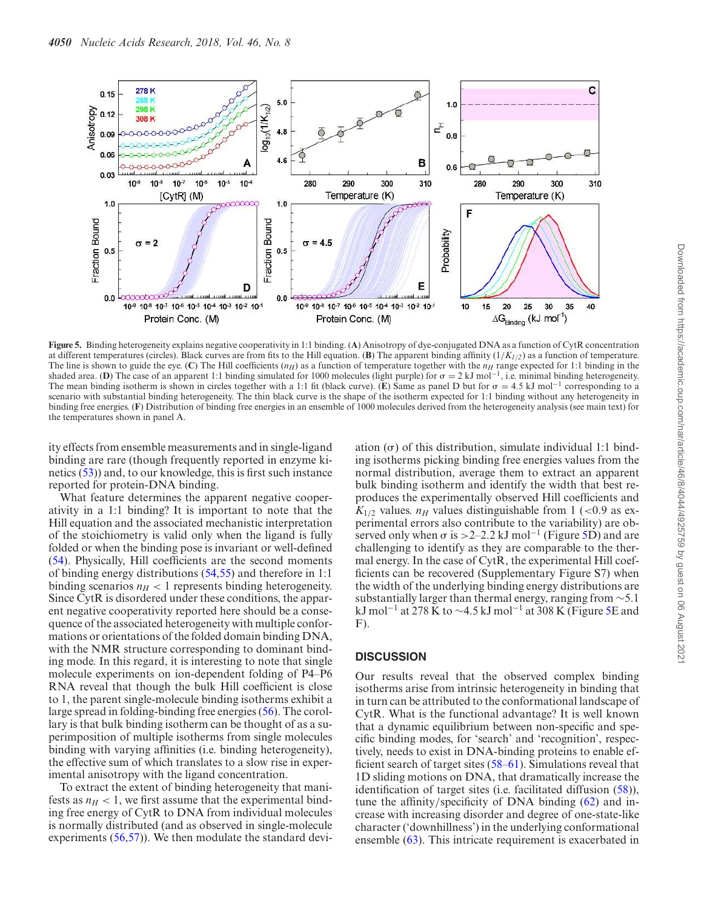

**Figure 5.** Binding heterogeneity explains negative cooperativity in 1:1 binding. (**A**) Anisotropy of dye-conjugated DNA as a function of CytR concentration at different temperatures (circles). Black curves are from fits to the Hill equation. (**B**) The apparent binding affinity (1/*K1*/*2*) as a function of temperature. The line is shown to guide the eye. (C) The Hill coefficients  $(n_H)$  as a function of temperature together with the  $n_H$  range expected for 1:1 binding in the shaded area. (**D**) The case of an apparent 1:1 binding simulated for 1000 molecules (light purple) for  $\sigma = 2 \text{ kJ} \text{ mol}^{-1}$ , i.e. minimal binding heterogeneity. The mean binding isotherm is shown in circles together with a 1:1 fit (black curve). (**E**) Same as panel D but for  $\sigma = 4.5 \text{ kJ} \text{ mol}^{-1}$  corresponding to a scenario with substantial binding heterogeneity. The thin black curve is the shape of the isotherm expected for 1:1 binding without any heterogeneity in binding free energies. (**F**) Distribution of binding free energies in an ensemble of 1000 molecules derived from the heterogeneity analysis (see main text) for the temperatures shown in panel A.

ity effects from ensemble measurements and in single-ligand binding are rare (though frequently reported in enzyme kinetics (53)) and, to our knowledge, this is first such instance reported for protein-DNA binding.

What feature determines the apparent negative cooperativity in a 1:1 binding? It is important to note that the Hill equation and the associated mechanistic interpretation of the stoichiometry is valid only when the ligand is fully folded or when the binding pose is invariant or well-defined (54). Physically, Hill coefficients are the second moments of binding energy distributions (54,55) and therefore in 1:1 binding scenarios  $n_H$  < 1 represents binding heterogeneity. Since CytR is disordered under these conditions, the apparent negative cooperativity reported here should be a consequence of the associated heterogeneity with multiple conformations or orientations of the folded domain binding DNA, with the NMR structure corresponding to dominant binding mode. In this regard, it is interesting to note that single molecule experiments on ion-dependent folding of P4–P6 RNA reveal that though the bulk Hill coefficient is close to 1, the parent single-molecule binding isotherms exhibit a large spread in folding-binding free energies (56). The corollary is that bulk binding isotherm can be thought of as a superimposition of multiple isotherms from single molecules binding with varying affinities (i.e. binding heterogeneity), the effective sum of which translates to a slow rise in experimental anisotropy with the ligand concentration.

To extract the extent of binding heterogeneity that manifests as  $n_H < 1$ , we first assume that the experimental binding free energy of CytR to DNA from individual molecules is normally distributed (and as observed in single-molecule experiments (56,57)). We then modulate the standard devi-

ation  $(\sigma)$  of this distribution, simulate individual 1:1 binding isotherms picking binding free energies values from the normal distribution, average them to extract an apparent bulk binding isotherm and identify the width that best reproduces the experimentally observed Hill coefficients and  $K_{1/2}$  values.  $n_H$  values distinguishable from 1 (<0.9 as experimental errors also contribute to the variability) are observed only when  $\sigma$  is >2–2.2 kJ mol<sup>-1</sup> (Figure 5D) and are challenging to identify as they are comparable to the thermal energy. In the case of CytR, the experimental Hill coefficients can be recovered (Supplementary Figure S7) when the width of the underlying binding energy distributions are substantially larger than thermal energy, ranging from ∼5.1 kJ mol<sup>-1</sup> at 278 K to ~4.5 kJ mol<sup>-1</sup> at 308 K (Figure 5E and  $F$ ).

## **DISCUSSION**

Our results reveal that the observed complex binding isotherms arise from intrinsic heterogeneity in binding that in turn can be attributed to the conformational landscape of CytR. What is the functional advantage? It is well known that a dynamic equilibrium between non-specific and specific binding modes, for 'search' and 'recognition', respectively, needs to exist in DNA-binding proteins to enable efficient search of target sites (58–61). Simulations reveal that 1D sliding motions on DNA, that dramatically increase the identification of target sites (i.e. facilitated diffusion (58)), tune the affinity/specificity of DNA binding (62) and increase with increasing disorder and degree of one-state-like character ('downhillness') in the underlying conformational ensemble (63). This intricate requirement is exacerbated in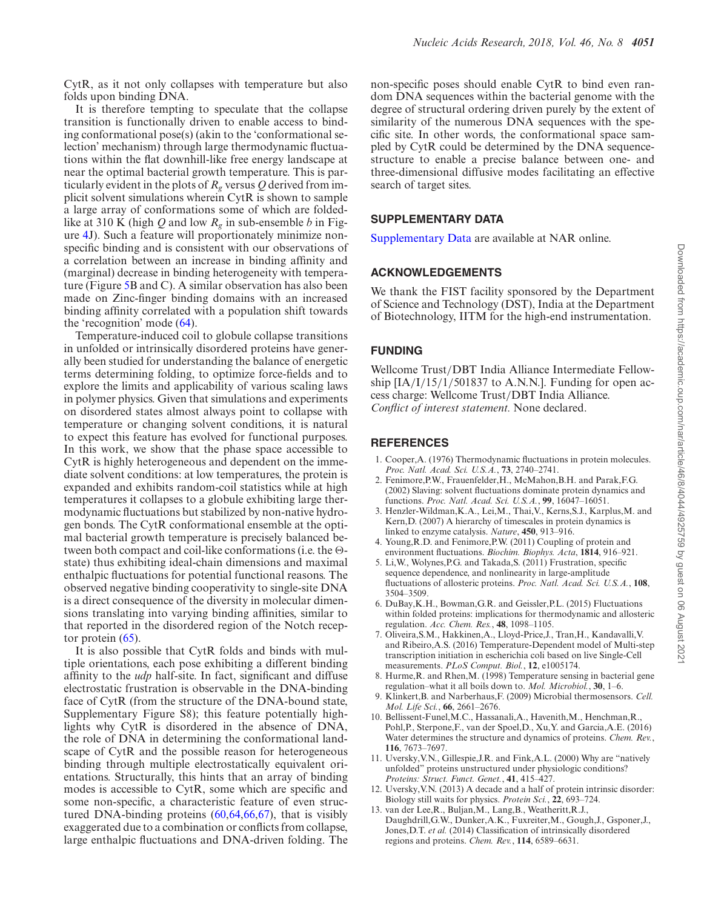CytR, as it not only collapses with temperature but also folds upon binding DNA.

It is therefore tempting to speculate that the collapse transition is functionally driven to enable access to binding conformational pose(s) (akin to the 'conformational selection' mechanism) through large thermodynamic fluctuations within the flat downhill-like free energy landscape at near the optimal bacterial growth temperature. This is particularly evident in the plots of  $R_g$  versus Q derived from implicit solvent simulations wherein CytR is shown to sample a large array of conformations some of which are foldedlike at 310 K (high *Q* and low *R<sup>g</sup>* in sub-ensemble *b* in Figure 4J). Such a feature will proportionately minimize nonspecific binding and is consistent with our observations of a correlation between an increase in binding affinity and (marginal) decrease in binding heterogeneity with temperature (Figure 5B and C). A similar observation has also been made on Zinc-finger binding domains with an increased binding affinity correlated with a population shift towards the 'recognition' mode (64).

Temperature-induced coil to globule collapse transitions in unfolded or intrinsically disordered proteins have generally been studied for understanding the balance of energetic terms determining folding, to optimize force-fields and to explore the limits and applicability of various scaling laws in polymer physics. Given that simulations and experiments on disordered states almost always point to collapse with temperature or changing solvent conditions, it is natural to expect this feature has evolved for functional purposes. In this work, we show that the phase space accessible to CytR is highly heterogeneous and dependent on the immediate solvent conditions: at low temperatures, the protein is expanded and exhibits random-coil statistics while at high temperatures it collapses to a globule exhibiting large thermodynamic fluctuations but stabilized by non-native hydrogen bonds. The CytR conformational ensemble at the optimal bacterial growth temperature is precisely balanced between both compact and coil-like conformations (i.e. the  $\Theta$ state) thus exhibiting ideal-chain dimensions and maximal enthalpic fluctuations for potential functional reasons. The observed negative binding cooperativity to single-site DNA is a direct consequence of the diversity in molecular dimensions translating into varying binding affinities, similar to that reported in the disordered region of the Notch receptor protein (65).

It is also possible that CytR folds and binds with multiple orientations, each pose exhibiting a different binding affinity to the *udp* half-site. In fact, significant and diffuse electrostatic frustration is observable in the DNA-binding face of CytR (from the structure of the DNA-bound state, Supplementary Figure S8); this feature potentially highlights why CytR is disordered in the absence of DNA, the role of DNA in determining the conformational landscape of CytR and the possible reason for heterogeneous binding through multiple electrostatically equivalent orientations. Structurally, this hints that an array of binding modes is accessible to CytR, some which are specific and some non-specific, a characteristic feature of even structured DNA-binding proteins (60,64,66,67), that is visibly exaggerated due to a combination or conflicts from collapse, large enthalpic fluctuations and DNA-driven folding. The non-specific poses should enable CytR to bind even random DNA sequences within the bacterial genome with the degree of structural ordering driven purely by the extent of similarity of the numerous DNA sequences with the specific site. In other words, the conformational space sampled by CytR could be determined by the DNA sequencestructure to enable a precise balance between one- and three-dimensional diffusive modes facilitating an effective search of target sites.

## **SUPPLEMENTARY DATA**

Supplementary Data are available at NAR online.

#### **ACKNOWLEDGEMENTS**

We thank the FIST facility sponsored by the Department of Science and Technology (DST), India at the Department of Biotechnology, IITM for the high-end instrumentation.

#### **FUNDING**

Wellcome Trust/DBT India Alliance Intermediate Fellowship  $[IA/I/15/1/501837$  to A.N.N.]. Funding for open access charge: Wellcome Trust/DBT India Alliance. *Conflict of interest statement.* None declared.

### **REFERENCES**

- 1. Cooper,A. (1976) Thermodynamic fluctuations in protein molecules. *Proc. Natl. Acad. Sci. U.S.A.*, **73**, 2740–2741.
- 2. Fenimore,P.W., Frauenfelder,H., McMahon,B.H. and Parak,F.G. (2002) Slaving: solvent fluctuations dominate protein dynamics and functions. *Proc. Natl. Acad. Sci. U.S.A.*, **99**, 16047–16051.
- 3. Henzler-Wildman,K.A., Lei,M., Thai,V., Kerns,S.J., Karplus,M. and Kern,D. (2007) A hierarchy of timescales in protein dynamics is linked to enzyme catalysis. *Nature*, **450**, 913–916.
- 4. Young,R.D. and Fenimore,P.W. (2011) Coupling of protein and environment fluctuations. *Biochim. Biophys. Acta*, **1814**, 916–921.
- 5. Li,W., Wolynes,P.G. and Takada,S. (2011) Frustration, specific sequence dependence, and nonlinearity in large-amplitude fluctuations of allosteric proteins. *Proc. Natl. Acad. Sci. U.S.A.*, **108**, 3504–3509.
- 6. DuBay,K.H., Bowman,G.R. and Geissler,P.L. (2015) Fluctuations within folded proteins: implications for thermodynamic and allosteric regulation. *Acc. Chem. Res.*, **48**, 1098–1105.
- 7. Oliveira,S.M., Hakkinen,A., Lloyd-Price,J., Tran,H., Kandavalli,V. and Ribeiro,A.S. (2016) Temperature-Dependent model of Multi-step transcription initiation in escherichia coli based on live Single-Cell measurements. *PLoS Comput. Biol.*, **12**, e1005174.
- 8. Hurme,R. and Rhen,M. (1998) Temperature sensing in bacterial gene regulation–what it all boils down to. *Mol. Microbiol.*, **30**, 1–6.
- 9. Klinkert,B. and Narberhaus,F. (2009) Microbial thermosensors. *Cell. Mol. Life Sci.*, **66**, 2661–2676.
- 10. Bellissent-Funel,M.C., Hassanali,A., Havenith,M., Henchman,R., Pohl,P., Sterpone,F., van der Spoel,D., Xu,Y. and Garcia,A.E. (2016) Water determines the structure and dynamics of proteins. *Chem. Rev.*, **116**, 7673–7697.
- 11. Uversky,V.N., Gillespie,J.R. and Fink,A.L. (2000) Why are "natively unfolded" proteins unstructured under physiologic conditions? *Proteins: Struct. Funct. Genet.*, **41**, 415–427.
- 12. Uversky,V.N. (2013) A decade and a half of protein intrinsic disorder: Biology still waits for physics. *Protein Sci.*, **22**, 693–724.
- 13. van der Lee,R., Buljan,M., Lang,B., Weatheritt,R.J., Daughdrill,G.W., Dunker,A.K., Fuxreiter,M., Gough,J., Gsponer,J., Jones,D.T. *et al.* (2014) Classification of intrinsically disordered regions and proteins. *Chem. Rev.*, **114**, 6589–6631.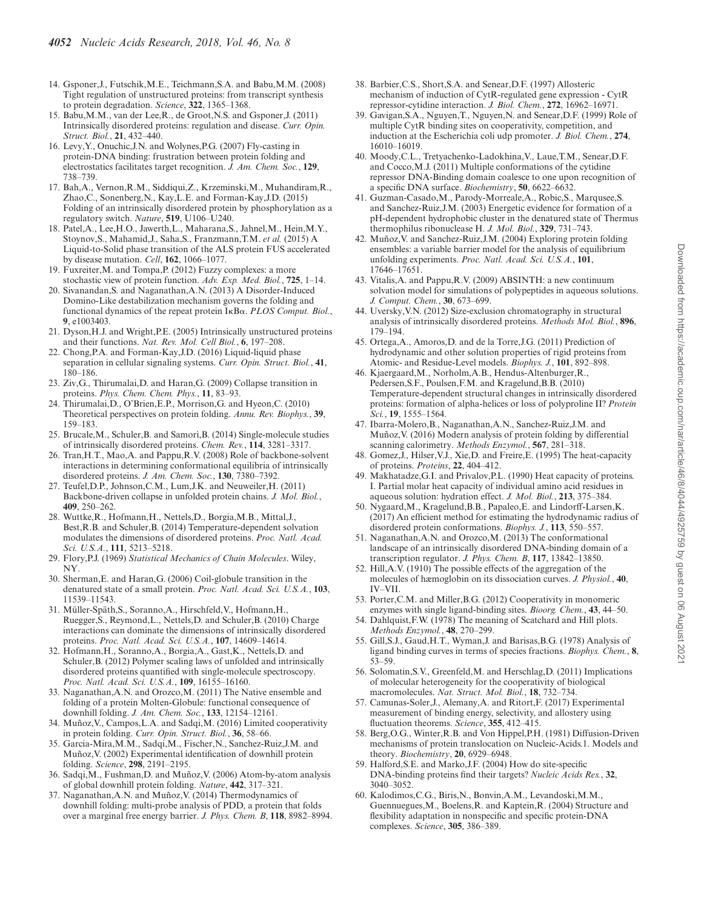- 14. Gsponer,J., Futschik,M.E., Teichmann,S.A. and Babu,M.M. (2008) Tight regulation of unstructured proteins: from transcript synthesis to protein degradation. *Science*, **322**, 1365–1368.
- 15. Babu,M.M., van der Lee,R., de Groot,N.S. and Gsponer,J. (2011) Intrinsically disordered proteins: regulation and disease. *Curr. Opin. Struct. Biol.*, **21**, 432–440.
- 16. Levy,Y., Onuchic,J.N. and Wolynes,P.G. (2007) Fly-casting in protein-DNA binding: frustration between protein folding and electrostatics facilitates target recognition. *J. Am. Chem. Soc.*, **129**, 738–739.
- 17. Bah,A., Vernon,R.M., Siddiqui,Z., Krzeminski,M., Muhandiram,R., Zhao,C., Sonenberg,N., Kay,L.E. and Forman-Kay,J.D. (2015) Folding of an intrinsically disordered protein by phosphorylation as a regulatory switch. *Nature*, **519**, U106–U240.
- 18. Patel,A., Lee,H.O., Jawerth,L., Maharana,S., Jahnel,M., Hein,M.Y., Stoynov,S., Mahamid,J., Saha,S., Franzmann,T.M. *et al.* (2015) A Liquid-to-Solid phase transition of the ALS protein FUS accelerated by disease mutation. *Cell*, **162**, 1066–1077.
- 19. Fuxreiter,M. and Tompa,P. (2012) Fuzzy complexes: a more stochastic view of protein function. *Adv. Exp. Med. Biol.*, **725**, 1–14.
- 20. Sivanandan,S. and Naganathan,A.N. (2013) A Disorder-Induced Domino-Like destabilization mechanism governs the folding and functional dynamics of the repeat protein I<sub>KBa</sub>. *PLOS Comput. Biol.*, **9**, e1003403.
- 21. Dyson,H.J. and Wright,P.E. (2005) Intrinsically unstructured proteins and their functions. *Nat. Rev. Mol. Cell Biol.*, **6**, 197–208.
- 22. Chong,P.A. and Forman-Kay,J.D. (2016) Liquid-liquid phase separation in cellular signaling systems. *Curr. Opin. Struct. Biol.*, **41**, 180–186.
- 23. Ziv,G., Thirumalai,D. and Haran,G. (2009) Collapse transition in proteins. *Phys. Chem. Chem. Phys.*, **11**, 83–93.
- 24. Thirumalai,D., O'Brien,E.P., Morrison,G. and Hyeon,C. (2010) Theoretical perspectives on protein folding. *Annu. Rev. Biophys.*, **39**, 159–183.
- 25. Brucale, M., Schuler, B. and Samorì, B. (2014) Single-molecule studies of intrinsically disordered proteins. *Chem. Rev.*, **114**, 3281–3317.
- 26. Tran,H.T., Mao,A. and Pappu,R.V. (2008) Role of backbone-solvent interactions in determining conformational equilibria of intrinsically disordered proteins. *J. Am. Chem. Soc.*, **130**, 7380–7392.
- 27. Teufel,D.P., Johnson,C.M., Lum,J.K. and Neuweiler,H. (2011) Backbone-driven collapse in unfolded protein chains. *J. Mol. Biol.*, **409**, 250–262.
- 28. Wuttke,R., Hofmann,H., Nettels,D., Borgia,M.B., Mittal,J., Best,R.B. and Schuler,B. (2014) Temperature-dependent solvation modulates the dimensions of disordered proteins. *Proc. Natl. Acad. Sci. U.S.A.*, **111**, 5213–5218.
- 29. Flory,P.J. (1969) *Statistical Mechanics of Chain Molecules*. Wiley, NY.
- 30. Sherman,E. and Haran,G. (2006) Coil-globule transition in the denatured state of a small protein. *Proc. Natl. Acad. Sci. U.S.A.*, **103**, 11539–11543.
- 31. Müller-Späth, S., Soranno, A., Hirschfeld, V., Hofmann, H. Ruegger,S., Reymond,L., Nettels,D. and Schuler,B. (2010) Charge interactions can dominate the dimensions of intrinsically disordered proteins. *Proc. Natl. Acad. Sci. U.S.A.*, **107**, 14609–14614.
- 32. Hofmann,H., Soranno,A., Borgia,A., Gast,K., Nettels,D. and Schuler,B. (2012) Polymer scaling laws of unfolded and intrinsically disordered proteins quantified with single-molecule spectroscopy. *Proc. Natl. Acad. Sci. U.S.A.*, **109**, 16155–16160.
- 33. Naganathan,A.N. and Orozco,M. (2011) The Native ensemble and folding of a protein Molten-Globule: functional consequence of downhill folding. *J. Am. Chem. Soc.*, **133**, 12154–12161.
- 34. Muñoz, V., Campos, L.A. and Sadqi, M. (2016) Limited cooperativity in protein folding. *Curr. Opin. Struct. Biol.*, **36**, 58–66.
- 35. Garcia-Mira,M.M., Sadqi,M., Fischer,N., Sanchez-Ruiz,J.M. and Muñoz, V. (2002) Experimental identification of downhill protein folding. *Science*, **298**, 2191–2195.
- 36. Sadqi,M., Fushman,D. and Muñoz,V. (2006) Atom-by-atom analysis of global downhill protein folding. *Nature*, **442**, 317–321.
- 37. Naganathan, A.N. and Muñoz, V. (2014) Thermodynamics of downhill folding: multi-probe analysis of PDD, a protein that folds over a marginal free energy barrier. *J. Phys. Chem. B*, **118**, 8982–8994.
- 38. Barbier,C.S., Short,S.A. and Senear,D.F. (1997) Allosteric mechanism of induction of CytR-regulated gene expression - CytR repressor-cytidine interaction. *J. Biol. Chem.*, **272**, 16962–16971.
- 39. Gavigan,S.A., Nguyen,T., Nguyen,N. and Senear,D.F. (1999) Role of multiple CytR binding sites on cooperativity, competition, and induction at the Escherichia coli udp promoter. *J. Biol. Chem.*, **274**, 16010–16019.
- 40. Moody,C.L., Tretyachenko-Ladokhina,V., Laue,T.M., Senear,D.F. and Cocco,M.J. (2011) Multiple conformations of the cytidine repressor DNA-Binding domain coalesce to one upon recognition of a specific DNA surface. *Biochemistry*, **50**, 6622–6632.
- 41. Guzman-Casado,M., Parody-Morreale,A., Robic,S., Marqusee,S. and Sanchez-Ruiz,J.M. (2003) Energetic evidence for formation of a pH-dependent hydrophobic cluster in the denatured state of Thermus thermophilus ribonuclease H. *J. Mol. Biol.*, **329**, 731–743.
- 42. Muñoz, V. and Sanchez-Ruiz, J.M. (2004) Exploring protein folding ensembles: a variable barrier model for the analysis of equilibrium unfolding experiments. *Proc. Natl. Acad. Sci. U.S.A.*, **101**, 17646–17651.
- 43. Vitalis,A. and Pappu,R.V. (2009) ABSINTH: a new continuum solvation model for simulations of polypeptides in aqueous solutions. *J. Comput. Chem.*, **30**, 673–699.
- 44. Uversky,V.N. (2012) Size-exclusion chromatography in structural analysis of intrinsically disordered proteins. *Methods Mol. Biol.*, **896**, 179–194.
- 45. Ortega,A., Amoros,D. and de la Torre,J.G. (2011) Prediction of hydrodynamic and other solution properties of rigid proteins from Atomic- and Residue-Level models. *Biophys. J.*, **101**, 892–898.
- 46. Kjaergaard,M., Norholm,A.B., Hendus-Altenburger,R., Pedersen,S.F., Poulsen,F.M. and Kragelund,B.B. (2010) Temperature-dependent structural changes in intrinsically disordered proteins: formation of alpha-helices or loss of polyproline II? *Protein Sci.*, **19**, 1555–1564.
- 47. Ibarra-Molero,B., Naganathan,A.N., Sanchez-Ruiz,J.M. and Muñoz, V. (2016) Modern analysis of protein folding by differential scanning calorimetry. *Methods Enzymol.*, **567**, 281–318.
- 48. Gomez,J., Hilser,V.J., Xie,D. and Freire,E. (1995) The heat-capacity of proteins. *Proteins*, **22**, 404–412.
- 49. Makhatadze,G.I. and Privalov,P.L. (1990) Heat capacity of proteins. I. Partial molar heat capacity of individual amino acid residues in aqueous solution: hydration effect. *J. Mol. Biol.*, **213**, 375–384.
- 50. Nygaard,M., Kragelund,B.B., Papaleo,E. and Lindorff-Larsen,K. (2017) An efficient method for estimating the hydrodynamic radius of disordered protein conformations. *Biophys. J.*, **113**, 550–557.
- 51. Naganathan,A.N. and Orozco,M. (2013) The conformational landscape of an intrinsically disordered DNA-binding domain of a transcription regulator. *J. Phys. Chem. B*, **117**, 13842–13850.
- 52. Hill,A.V. (1910) The possible effects of the aggregation of the molecules of hæmoglobin on its dissociation curves. *J. Physiol.*, **40**, IV–VII.
- 53. Porter,C.M. and Miller,B.G. (2012) Cooperativity in monomeric enzymes with single ligand-binding sites. *Bioorg. Chem.*, **43**, 44–50.
- 54. Dahlquist,F.W. (1978) The meaning of Scatchard and Hill plots. *Methods Enzymol.*, **48**, 270–299.
- 55. Gill,S.J., Gaud,H.T., Wyman,J. and Barisas,B.G. (1978) Analysis of ligand binding curves in terms of species fractions. *Biophys. Chem.*, **8**, 53–59.
- 56. Solomatin,S.V., Greenfeld,M. and Herschlag,D. (2011) Implications of molecular heterogeneity for the cooperativity of biological macromolecules. *Nat. Struct. Mol. Biol.*, **18**, 732–734.
- 57. Camunas-Soler,J., Alemany,A. and Ritort,F. (2017) Experimental measurement of binding energy, selectivity, and allostery using fluctuation theorems. *Science*, **355**, 412–415.
- 58. Berg,O.G., Winter,R.B. and Von Hippel,P.H. (1981) Diffusion-Driven mechanisms of protein translocation on Nucleic-Acids.1. Models and theory. *Biochemistry*, **20**, 6929–6948.
- 59. Halford,S.E. and Marko,J.F. (2004) How do site-specific DNA-binding proteins find their targets? *Nucleic Acids Res.*, **32**, 3040–3052.
- 60. Kalodimos,C.G., Biris,N., Bonvin,A.M., Levandoski,M.M., Guennuegues,M., Boelens,R. and Kaptein,R. (2004) Structure and flexibility adaptation in nonspecific and specific protein-DNA complexes. *Science*, **305**, 386–389.